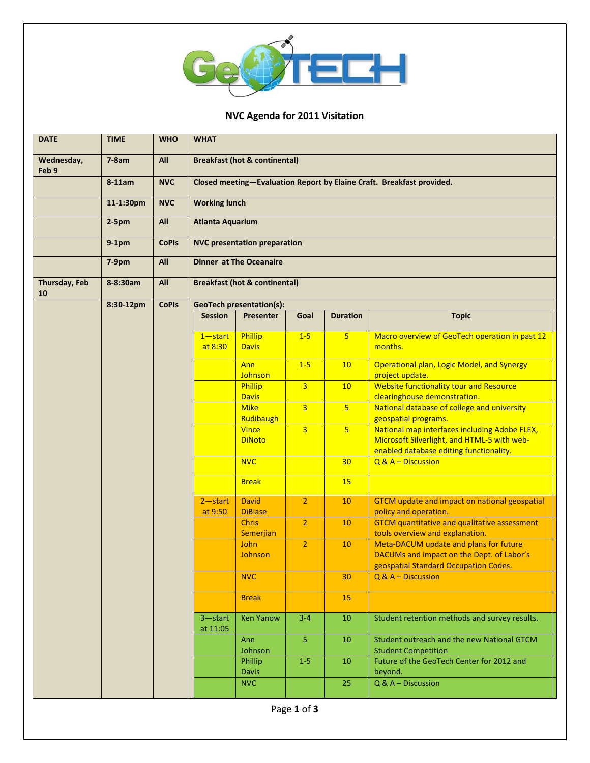

## **NVC Agenda for 2011 Visitation**

| <b>DATE</b>         | <b>TIME</b> | <b>WHO</b>   | <b>WHAT</b>                                                           |                                |                |                 |                                                                                                                                         |  |  |  |
|---------------------|-------------|--------------|-----------------------------------------------------------------------|--------------------------------|----------------|-----------------|-----------------------------------------------------------------------------------------------------------------------------------------|--|--|--|
| Wednesday,<br>Feb 9 | $7-8am$     | All          | <b>Breakfast (hot &amp; continental)</b>                              |                                |                |                 |                                                                                                                                         |  |  |  |
|                     | 8-11am      | <b>NVC</b>   | Closed meeting-Evaluation Report by Elaine Craft. Breakfast provided. |                                |                |                 |                                                                                                                                         |  |  |  |
|                     | 11-1:30pm   | <b>NVC</b>   | <b>Working lunch</b>                                                  |                                |                |                 |                                                                                                                                         |  |  |  |
|                     | $2-5pm$     | All          | <b>Atlanta Aquarium</b>                                               |                                |                |                 |                                                                                                                                         |  |  |  |
|                     | $9-1pm$     | <b>CoPIs</b> | <b>NVC presentation preparation</b>                                   |                                |                |                 |                                                                                                                                         |  |  |  |
|                     | 7-9pm       | All          | <b>Dinner at The Oceanaire</b>                                        |                                |                |                 |                                                                                                                                         |  |  |  |
| Thursday, Feb<br>10 | 8-8:30am    | All          | <b>Breakfast (hot &amp; continental)</b>                              |                                |                |                 |                                                                                                                                         |  |  |  |
|                     | 8:30-12pm   | <b>CoPIs</b> | <b>GeoTech presentation(s):</b>                                       |                                |                |                 |                                                                                                                                         |  |  |  |
|                     |             |              | <b>Session</b>                                                        | <b>Presenter</b>               | Goal           | <b>Duration</b> | <b>Topic</b>                                                                                                                            |  |  |  |
|                     |             |              | $1 - start$<br>at 8:30                                                | Phillip<br><b>Davis</b>        | $1 - 5$        | 5               | Macro overview of GeoTech operation in past 12<br>months.                                                                               |  |  |  |
|                     |             |              |                                                                       | Ann<br>Johnson                 | $1-5$          | 10              | Operational plan, Logic Model, and Synergy<br>project update.                                                                           |  |  |  |
|                     |             |              |                                                                       | Phillip<br><b>Davis</b>        | $\overline{3}$ | 10              | Website functionality tour and Resource<br>clearinghouse demonstration.                                                                 |  |  |  |
|                     |             |              |                                                                       | <b>Mike</b><br>Rudibaugh       | $\overline{3}$ | 5 <sup>2</sup>  | National database of college and university<br>geospatial programs.                                                                     |  |  |  |
|                     |             |              |                                                                       | <b>Vince</b><br><b>DiNoto</b>  | $\overline{3}$ | 5 <sup>1</sup>  | National map interfaces including Adobe FLEX,<br>Microsoft Silverlight, and HTML-5 with web-<br>enabled database editing functionality. |  |  |  |
|                     |             |              |                                                                       | <b>NVC</b>                     |                | 30 <sub>2</sub> | Q & A - Discussion                                                                                                                      |  |  |  |
|                     |             |              |                                                                       | <b>Break</b>                   |                | 15              |                                                                                                                                         |  |  |  |
|                     |             |              | $2 - start$<br>at 9:50                                                | <b>David</b><br><b>DiBiase</b> | $\overline{2}$ | 10              | GTCM update and impact on national geospatial<br>policy and operation.                                                                  |  |  |  |
|                     |             |              |                                                                       | <b>Chris</b><br>Semerjian      | 2 <sup>1</sup> | 10              | <b>GTCM</b> quantitative and qualitative assessment<br>tools overview and explanation.                                                  |  |  |  |
|                     |             |              |                                                                       | John<br>Johnson                | $\overline{2}$ | 10              | Meta-DACUM update and plans for future<br>DACUMs and impact on the Dept. of Labor's<br>geospatial Standard Occupation Codes.            |  |  |  |
|                     |             |              |                                                                       | <b>NVC</b>                     |                | 30              | $Q$ & $A -$ Discussion                                                                                                                  |  |  |  |
|                     |             |              |                                                                       | <b>Break</b>                   |                | 15              |                                                                                                                                         |  |  |  |
|                     |             |              | $3 - start$<br>at 11:05                                               | <b>Ken Yanow</b>               | $3 - 4$        | 10              | Student retention methods and survey results.                                                                                           |  |  |  |
|                     |             |              |                                                                       | Ann<br>Johnson                 | 5 <sub>1</sub> | 10              | Student outreach and the new National GTCM<br><b>Student Competition</b>                                                                |  |  |  |
|                     |             |              |                                                                       | Phillip<br><b>Davis</b>        | $1 - 5$        | 10              | Future of the GeoTech Center for 2012 and<br>beyond.                                                                                    |  |  |  |
|                     |             |              |                                                                       | <b>NVC</b>                     |                | 25              | Q & A - Discussion                                                                                                                      |  |  |  |
|                     |             |              |                                                                       |                                | Page 1 of 3    |                 |                                                                                                                                         |  |  |  |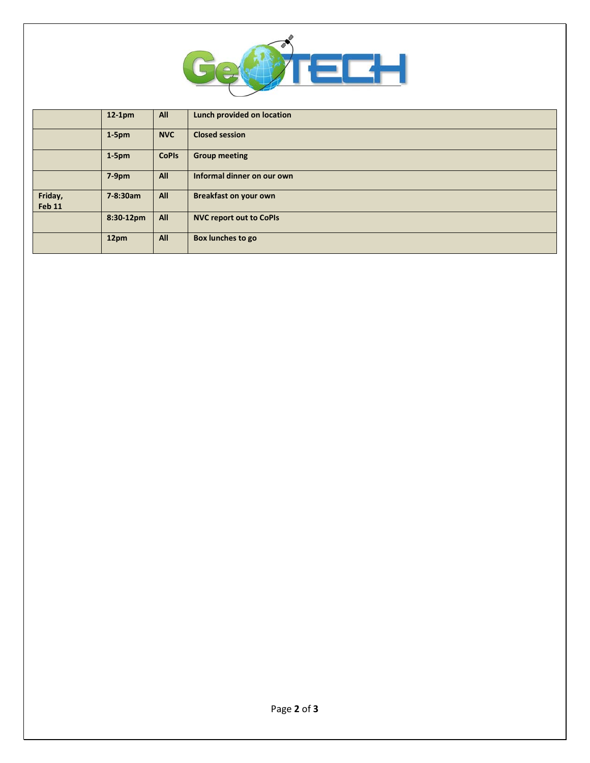

|                          | $12-1pm$     | All          | Lunch provided on location     |
|--------------------------|--------------|--------------|--------------------------------|
|                          | $1-5pm$      | <b>NVC</b>   | <b>Closed session</b>          |
|                          | $1-5pm$      | <b>CoPIs</b> | <b>Group meeting</b>           |
|                          | $7-9pm$      | All          | Informal dinner on our own     |
| Friday,<br><b>Feb 11</b> | 7-8:30am     | All          | <b>Breakfast on your own</b>   |
|                          | $8:30-12$ pm | All          | <b>NVC report out to CoPIs</b> |
|                          | 12pm         | All          | Box lunches to go              |